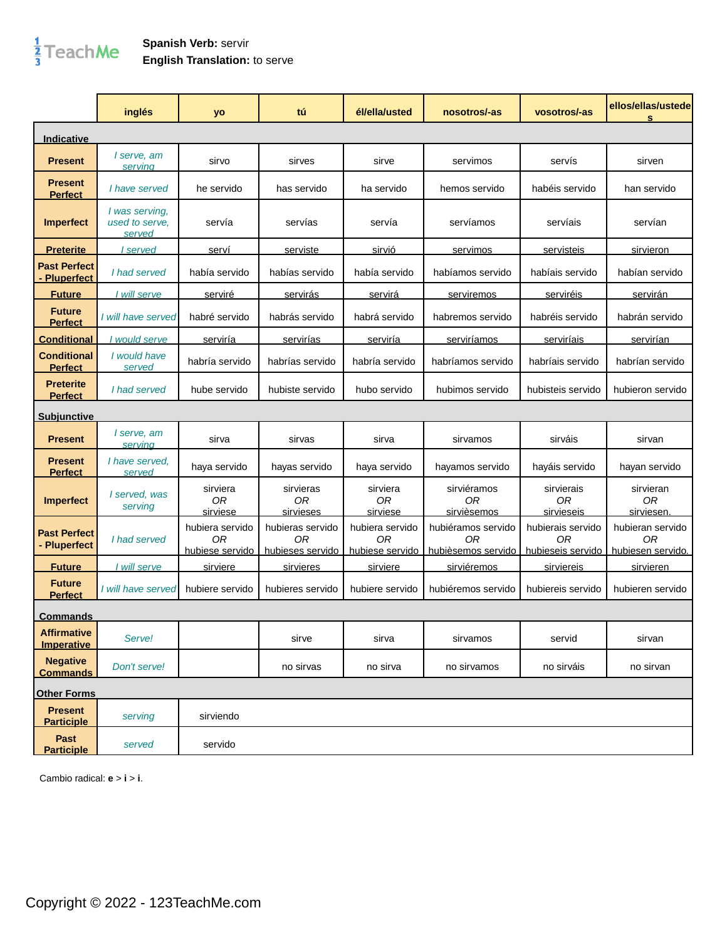## $\frac{1}{3}$ TeachMe

## **Spanish Verb:** servir **English Translation:** to serve

|                                         | inglés                                     | yo                                       | tú                                         | él/ella/usted                                        | nosotros/-as                                   | vosotros/-as                                 | ellos/ellas/ustede<br>s                     |
|-----------------------------------------|--------------------------------------------|------------------------------------------|--------------------------------------------|------------------------------------------------------|------------------------------------------------|----------------------------------------------|---------------------------------------------|
| Indicative                              |                                            |                                          |                                            |                                                      |                                                |                                              |                                             |
| <b>Present</b>                          | I serve, am<br>serving                     | sirvo                                    | sirves                                     | sirve                                                | servimos                                       | servís                                       | sirven                                      |
| <b>Present</b><br><b>Perfect</b>        | I have served                              | he servido                               | has servido                                | ha servido                                           | hemos servido                                  | habéis servido                               | han servido                                 |
| <b>Imperfect</b>                        | I was serving,<br>used to serve.<br>served | servía                                   | servías                                    | servía                                               | servíamos                                      | servíais                                     | servían                                     |
| <b>Preterite</b>                        | served                                     | serví                                    | serviste                                   | <u>sirvió</u>                                        | servimos                                       | servisteis                                   | sirvieron                                   |
| <b>Past Perfect</b><br>- Pluperfect     | I had served                               | había servido                            | habías servido                             | había servido                                        | habíamos servido                               | habíais servido                              | habían servido                              |
| <b>Future</b>                           | I will serve                               | <u>serviré</u>                           | <u>servirás</u>                            | servirá                                              | serviremos                                     | serviréis                                    | <u>servirán</u>                             |
| <b>Future</b><br><b>Perfect</b>         | I will have served                         | habré servido                            | habrás servido                             | habrá servido                                        | habremos servido                               | habréis servido                              | habrán servido                              |
| <b>Conditional</b>                      | I would serve                              | serviría                                 | <u>servirías</u>                           | serviría                                             | serviríamos                                    | <u>serviríais</u>                            | <u>servirían</u>                            |
| <b>Conditional</b><br><b>Perfect</b>    | I would have<br>served                     | habría servido                           | habrías servido                            | habría servido                                       | habríamos servido                              | habríais servido                             | habrían servido                             |
| <b>Preterite</b><br><b>Perfect</b>      | I had served                               | hube servido                             | hubiste servido                            | hubo servido                                         | hubimos servido                                | hubisteis servido                            | hubieron servido                            |
| <b>Subjunctive</b>                      |                                            |                                          |                                            |                                                      |                                                |                                              |                                             |
| <b>Present</b>                          | I serve, am<br>servina                     | sirva                                    | sirvas                                     | sirva                                                | sirvamos                                       | sirváis                                      | sirvan                                      |
| <b>Present</b><br><b>Perfect</b>        | I have served.<br>served                   | haya servido                             | hayas servido                              | haya servido                                         | hayamos servido                                | hayáis servido                               | hayan servido                               |
| <b>Imperfect</b>                        | I served, was<br>serving                   | sirviera<br>0 <sub>R</sub><br>sirviese   | sirvieras<br>0 <sub>R</sub><br>sirvieses   | sirviera<br>0 <sub>R</sub><br>sirviese               | sirviéramos<br>0R<br>sirvièsemos               | sirvierais<br>0R<br>sirvieseis               | sirvieran<br>0 <sub>R</sub><br>sirviesen    |
| <b>Past Perfect</b><br>- Pluperfect     | I had served                               | hubiera servido<br>0R<br>hubiese servido | hubieras servido<br>0R<br>hubieses servido | hubiera servido<br>0 <sub>R</sub><br>hubiese servido | hubiéramos servido<br>ΩR<br>hubièsemos servido | hubierais servido<br>ΩR<br>hubieseis servido | hubieran servido<br>0R<br>hubiesen servido. |
| <b>Future</b>                           | I will serve                               | sirviere                                 | sirvieres                                  | sirviere                                             | <u>sirviéremos</u>                             | sirviereis                                   | sirvieren                                   |
| <b>Future</b><br><b>Perfect</b>         | I will have served                         | hubiere servido                          | hubieres servido                           | hubiere servido                                      | hubiéremos servido                             | hubiereis servido                            | hubieren servido                            |
| <u>Commands</u>                         |                                            |                                          |                                            |                                                      |                                                |                                              |                                             |
| <b>Affirmative</b><br><b>Imperative</b> | Serve!                                     |                                          | sirve                                      | sirva                                                | sirvamos                                       | servid                                       | sirvan                                      |
| <b>Negative</b><br><b>Commands</b>      | Don't serve!                               |                                          | no sirvas                                  | no sirva                                             | no sirvamos                                    | no sirváis                                   | no sirvan                                   |
| <b>Other Forms</b>                      |                                            |                                          |                                            |                                                      |                                                |                                              |                                             |
| <b>Present</b><br><b>Participle</b>     | serving                                    | sirviendo                                |                                            |                                                      |                                                |                                              |                                             |
| Past<br><b>Participle</b>               | served                                     | servido                                  |                                            |                                                      |                                                |                                              |                                             |

Cambio radical: **e** > **i** > **i**.